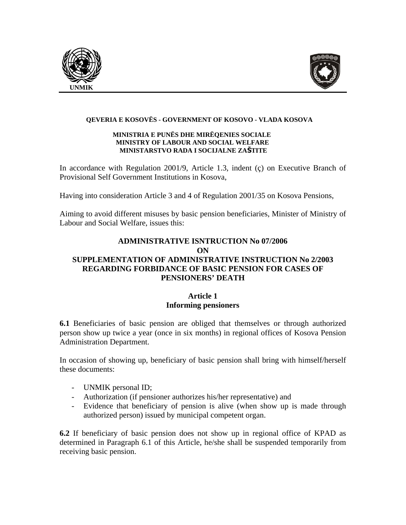



#### **QEVERIA E KOSOVËS - GOVERNMENT OF KOSOVO - VLADA KOSOVA**

#### **MINISTRIA E PUNËS DHE MIRËQENIES SOCIALE MINISTRY OF LABOUR AND SOCIAL WELFARE MINISTARSTVO RADA I SOCIJALNE ZAŠTITE**

In accordance with Regulation 2001/9, Article 1.3, indent (ç) on Executive Branch of Provisional Self Government Institutions in Kosova,

Having into consideration Article 3 and 4 of Regulation 2001/35 on Kosova Pensions,

Aiming to avoid different misuses by basic pension beneficiaries, Minister of Ministry of Labour and Social Welfare, issues this:

## **ADMINISTRATIVE ISNTRUCTION No 07/2006 ON SUPPLEMENTATION OF ADMINISTRATIVE INSTRUCTION No 2/2003 REGARDING FORBIDANCE OF BASIC PENSION FOR CASES OF PENSIONERS' DEATH**

## **Article 1 Informing pensioners**

**6.1** Beneficiaries of basic pension are obliged that themselves or through authorized person show up twice a year (once in six months) in regional offices of Kosova Pension Administration Department.

In occasion of showing up, beneficiary of basic pension shall bring with himself/herself these documents:

- UNMIK personal ID;
- Authorization (if pensioner authorizes his/her representative) and
- Evidence that beneficiary of pension is alive (when show up is made through authorized person) issued by municipal competent organ.

**6.2** If beneficiary of basic pension does not show up in regional office of KPAD as determined in Paragraph 6.1 of this Article, he/she shall be suspended temporarily from receiving basic pension.